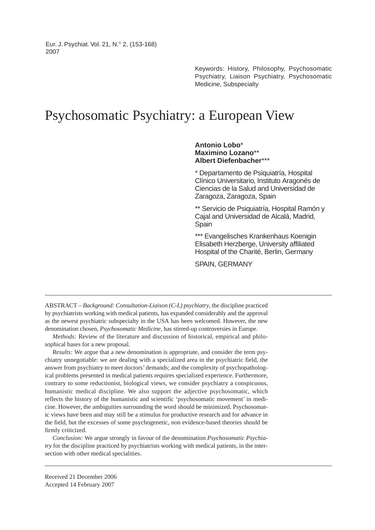Eur. J. Psychiat. Vol. 21, N.° 2, (153-168) 2007

> Keywords: History, Philosophy, Psychosomatic Psychiatry, Liaison Psychiatry, Psychosomatic Medicine, Subspecialty

# Psychosomatic Psychiatry: a European View

#### **Antonio Lobo**\* **Maximino Lozano**\*\* **Albert Diefenbacher**\*\*\*

\* Departamento de Psiquiatría, Hospital Clínico Universitario, Instituto Aragonés de Ciencias de la Salud and Universidad de Zaragoza, Zaragoza, Spain

\*\* Servicio de Psiquiatría, Hospital Ramón y Cajal and Universidad de Alcalá, Madrid, **Spain** 

\*\*\* Evangelisches Krankenhaus Koenigin Elisabeth Herzberge, University affiliated Hospital of the Charité, Berlin, Germany

SPAIN, GERMANY

ABSTRACT – *Background: Consultation-Liaison (C-L) psychiatry*, the discipline practiced by psychiatrists working with medical patients, has expanded considerably and the approval as the newest psychiatric subspecialty in the USA has been welcomed. However, the new denomination chosen, *Psychosomatic Medicine*, has stirred-up controversies in Europe.

*Methods:* Review of the literature and discussion of historical, empirical and philosophical bases for a new proposal.

*Results:* We argue that a new denomination is appropriate, and consider the term psychiatry unnegotiable: we are dealing with a specialized area in the psychiatric field, the answer from psychiatry to meet doctors' demands; and the complexity of psychopathological problems presented in medical patients requires specialized experience. Furthermore, contrary to some reductionist, biological views, we consider psychiatry a conspicuous, humanistic medical discipline. We also support the adjective psychosomatic, which reflects the history of the humanistic and scientific 'psychosomatic movement' in medicine. However, the ambiguities surrounding the word should be minimized. Psychosomatic views have been and may still be a stimulus for productive research and for advance in the field, but the excesses of some psychogenetic, non evidence-based theories should be firmly criticized.

*Conclusion:* We argue strongly in favour of the denomination *Psychosomatic Psychiatry* for the discipline practiced by psychiatrists working with medical patients, in the intersection with other medical specialities.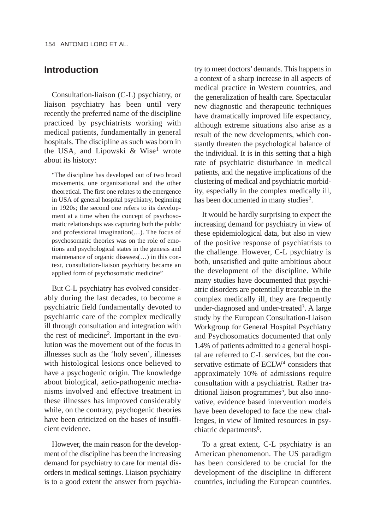### **Introduction**

Consultation-liaison (C-L) psychiatry, or liaison psychiatry has been until very recently the preferred name of the discipline practiced by psychiatrists working with medical patients, fundamentally in general hospitals. The discipline as such was born in the USA, and Lipowski & Wise<sup>1</sup> wrote about its history:

"The discipline has developed out of two broad movements, one organizational and the other theoretical. The first one relates to the emergence in USA of general hospital psychiatry, beginning in 1920s; the second one refers to its development at a time when the concept of psychosomatic relationships was capturing both the public and professional imagination(…). The focus of psychosomatic theories was on the role of emotions and psychological states in the genesis and maintenance of organic diseases(…) in this context, consultation-liaison psychiatry became an applied form of psychosomatic medicine"

But C-L psychiatry has evolved considerably during the last decades, to become a psychiatric field fundamentally devoted to psychiatric care of the complex medically ill through consultation and integration with the rest of medicine2. Important in the evolution was the movement out of the focus in illnesses such as the 'holy seven', illnesses with histological lesions once believed to have a psychogenic origin. The knowledge about biological, aetio-pathogenic mechanisms involved and effective treatment in these illnesses has improved considerably while, on the contrary, psychogenic theories have been criticized on the bases of insufficient evidence.

However, the main reason for the development of the discipline has been the increasing demand for psychiatry to care for mental disorders in medical settings. Liaison psychiatry is to a good extent the answer from psychiatry to meet doctors'demands. This happens in a context of a sharp increase in all aspects of medical practice in Western countries, and the generalization of health care. Spectacular new diagnostic and therapeutic techniques have dramatically improved life expectancy, although extreme situations also arise as a result of the new developments, which constantly threaten the psychological balance of the individual. It is in this setting that a high rate of psychiatric disturbance in medical patients, and the negative implications of the clustering of medical and psychiatric morbidity, especially in the complex medically ill, has been documented in many studies<sup>2</sup>.

It would be hardly surprising to expect the increasing demand for psychiatry in view of these epidemiological data, but also in view of the positive response of psychiatrists to the challenge. However, C-L psychiatry is both, unsatisfied and quite ambitious about the development of the discipline. While many studies have documented that psychiatric disorders are potentially treatable in the complex medically ill, they are frequently under-diagnosed and under-treated<sup>3</sup>. A large study by the European Consultation-Liaison Workgroup for General Hospital Psychiatry and Psychosomatics documented that only 1.4% of patients admitted to a general hospital are referred to C-L services, but the conservative estimate of ECLW<sup>4</sup> considers that approximately 10% of admissions require consultation with a psychiatrist. Rather tra $ditional liaison programs<sup>5</sup>$ , but also innovative, evidence based intervention models have been developed to face the new challenges, in view of limited resources in psychiatric departments<sup>6</sup>.

To a great extent, C-L psychiatry is an American phenomenon. The US paradigm has been considered to be crucial for the development of the discipline in different countries, including the European countries.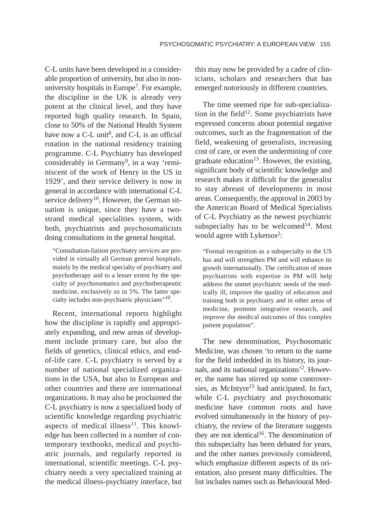C-L units have been developed in a considerable proportion of university, but also in nonuniversity hospitals in Europe<sup>7</sup>. For example, the discipline in the UK is already very potent at the clinical level, and they have reported high quality research. In Spain, close to 50% of the National Health System have now a C-L unit<sup>8</sup>, and C-L is an official rotation in the national residency training programme. C-L Psychiatry has developed considerably in Germany<sup>9</sup>, in a way 'reminiscent of the work of Henry in the US in 1929', and their service delivery is now in general in accordance with international C-L service delivery<sup>10</sup>. However, the German situation is unique, since they have a twostrand medical specialities system, with both, psychiatrists and psychosomaticists doing consultations in the general hospital.

"Consultation-liaison psychiatry services are provided in virtually all German general hospitals, mainly by the medical specialty of psychiatry and psychotherapy and to a lesser extent by the specialty of psychosomatics and psychotherapeutic medicine, exclusively so in 5%. The latter specialty includes non-psychiatric physicians"<sup>10</sup>.

Recent, international reports highlight how the discipline is rapidly and appropriately expanding, and new areas of development include primary care, but also the fields of genetics, clinical ethics, and endof-life care. C-L psychiatry is served by a number of national specialized organizations in the USA, but also in European and other countries and there are international organizations. It may also be proclaimed the C-L psychiatry is now a specialized body of scientific knowledge regarding psychiatric aspects of medical illness<sup>11</sup>. This knowledge has been collected in a number of contemporary textbooks, medical and psychiatric journals, and regularly reported in international, scientific meetings. C-L psychiatry needs a very specialized training at the medical illness-psychiatry interface, but

this may now be provided by a cadre of clinicians, scholars and researchers that has emerged notoriously in different countries.

The time seemed ripe for sub-specialization in the field<sup>12</sup>. Some psychiatrists have expressed concerns about potential negative outcomes, such as the fragmentation of the field, weakening of generalists, increasing cost of care, or even the undermining of core graduate education<sup>13</sup>. However, the existing, significant body of scientific knowledge and research makes it difficult for the generalist to stay abreast of developments in most areas. Consequently, the approval in 2003 by the American Board of Medical Specialists of C-L Psychiatry as the newest psychiatric subspecialty has to be welcomed<sup>14</sup>. Most would agree with Lyketsos<sup>2</sup>:

"Formal recognition as a subspecialty in the US has and will strengthen PM and will enhance its growth internationally. The certification of more psychiatrists with expertise in PM will help address the unmet psychiatric needs of the medically ill, improve the quality of education and training both in psychiatry and in other areas of medicine, promote integrative research, and improve the medical outcomes of this complex patient population".

The new denomination, Psychosomatic Medicine, was chosen 'to return to the name for the field imbedded in its history, its journals, and its national organizations'2. However, the name has stirred up some controversies, as McIntyre<sup>15</sup> had anticipated. In fact, while C-L psychiatry and psychosomatic medicine have common roots and have evolved simultaneously in the history of psychiatry, the review of the literature suggests they are not identical<sup>16</sup>. The denomination of this subspecialty has been debated for years, and the other names previously considered, which emphasize different aspects of its orientation, also present many difficulties. The list includes names such as Behavioural Med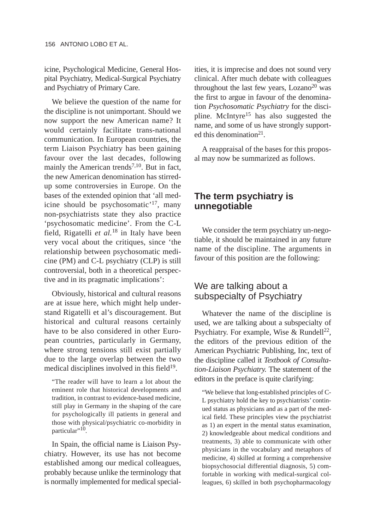icine, Psychological Medicine, General Hospital Psychiatry, Medical-Surgical Psychiatry and Psychiatry of Primary Care.

We believe the question of the name for the discipline is not unimportant. Should we now support the new American name? It would certainly facilitate trans-national communication. In European countries, the term Liaison Psychiatry has been gaining favour over the last decades, following mainly the American trends<sup>7,10</sup>. But in fact, the new American denomination has stirredup some controversies in Europe. On the bases of the extended opinion that 'all medicine should be psychosomatic'17, many non-psychiatrists state they also practice 'psychosomatic medicine'. From the C-L field, Rigatelli *et al.*<sup>18</sup> in Italy have been very vocal about the critiques, since 'the relationship between psychosomatic medicine (PM) and C-L psychiatry (CLP) is still controversial, both in a theoretical perspective and in its pragmatic implications':

Obviously, historical and cultural reasons are at issue here, which might help understand Rigatelli et al's discouragement. But historical and cultural reasons certainly have to be also considered in other European countries, particularly in Germany, where strong tensions still exist partially due to the large overlap between the two medical disciplines involved in this field $19$ .

"The reader will have to learn a lot about the eminent role that historical developments and tradition, in contrast to evidence-based medicine, still play in Germany in the shaping of the care for psychologically ill patients in general and those with physical/psychiatric co-morbidity in particular"<sup>10</sup>.

In Spain, the official name is Liaison Psychiatry. However, its use has not become established among our medical colleagues, probably because unlike the terminology that is normally implemented for medical specialities, it is imprecise and does not sound very clinical. After much debate with colleagues throughout the last few years,  $Lozano<sup>20</sup>$  was the first to argue in favour of the denomination *Psychosomatic Psychiatry* for the discipline. McIntyre15 has also suggested the name, and some of us have strongly supported this denomination<sup>21</sup>.

A reappraisal of the bases for this proposal may now be summarized as follows.

## **The term psychiatry is unnegotiable**

We consider the term psychiatry un-negotiable, it should be maintained in any future name of the discipline. The arguments in favour of this position are the following:

## We are talking about a subspecialty of Psychiatry

Whatever the name of the discipline is used, we are talking about a subspecialty of Psychiatry. For example, Wise & Rundell<sup>22</sup>, the editors of the previous edition of the American Psychiatric Publishing, Inc, text of the discipline called it *Textbook of Consultation-Liaison Psychiatry.* The statement of the editors in the preface is quite clarifying:

"We believe that long-established principles of C-L psychiatry hold the key to psychiatrists' continued status as physicians and as a part of the medical field. These principles view the psychiatrist as 1) an expert in the mental status examination, 2) knowledgeable about medical conditions and treatments, 3) able to communicate with other physicians in the vocabulary and metaphors of medicine, 4) skilled at forming a comprehensive biopsychosocial differential diagnosis, 5) comfortable in working with medical-surgical colleagues, 6) skilled in both psychopharmacology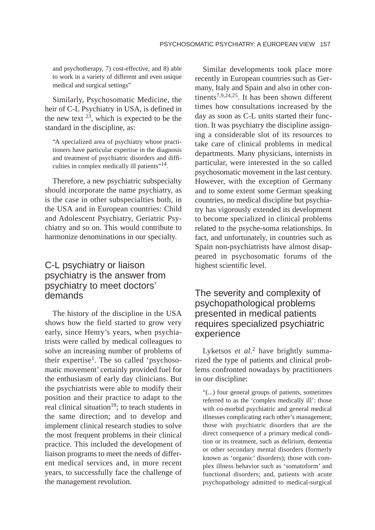and psychotherapy, 7) cost-effective, and 8) able to work in a variety of different and even unique medical and surgical settings"

Similarly, Psychosomatic Medicine, the heir of C-L Psychiatry in USA, is defined in the new text  $2^3$ , which is expected to be the standard in the discipline, as:

"A specialized area of psychiatry whose practitioners have particular expertise in the diagnosis and treatment of psychiatric disorders and difficulties in complex medically ill patients"<sup>14</sup>.

Therefore, a new psychiatric subspecialty should incorporate the name psychiatry, as is the case in other subspecialties both, in the USA and in European countries: Child and Adolescent Psychiatry, Geriatric Psychiatry and so on. This would contribute to harmonize denominations in our specialty.

## C-L psychiatry or liaison psychiatry is the answer from psychiatry to meet doctors' demands

The history of the discipline in the USA shows how the field started to grow very early, since Henry's years, when psychiatrists were called by medical colleagues to solve an increasing number of problems of their expertise<sup>1</sup>. The so called 'psychosomatic movement' certainly provided fuel for the enthusiasm of early day clinicians. But the psychiatrists were able to modify their position and their practice to adapt to the real clinical situation<sup>18</sup>; to teach students in the same direction; and to develop and implement clinical research studies to solve the most frequent problems in their clinical practice. This included the development of liaison programs to meet the needs of different medical services and, in more recent years, to successfully face the challenge of the management revolution.

Similar developments took place more recently in European countries such as Germany, Italy and Spain and also in other continents7,9,24,25. It has been shown different times how consultations increased by the day as soon as C-L units started their function. It was psychiatry the discipline assigning a considerable slot of its resources to take care of clinical problems in medical departments. Many physicians, internists in particular, were interested in the so called psychosomatic movement in the last century. However, with the exception of Germany and to some extent some German speaking countries, no medical discipline but psychiatry has vigorously extended its development to become specialized in clinical problems related to the psyche-soma relationships. In fact, and unfortunately, in countries such as Spain non-psychiatrists have almost disappeared in psychosomatic forums of the highest scientific level.

## The severity and complexity of psychopathological problems presented in medical patients requires specialized psychiatric experience

Lyketsos *et al.*<sup>2</sup> have brightly summarized the type of patients and clinical problems confronted nowadays by practitioners in our discipline:

"(...) four general groups of patients, sometimes referred to as the 'complex medically ill': those with co-morbid psychiatric and general medical illnesses complicating each other's management; those with psychiatric disorders that are the direct consequence of a primary medical condition or its treatment, such as delirium, dementia or other secondary mental disorders (formerly known as 'organic' disorders); those with complex illness behavior such as 'somatoform' and functional disorders; and, patients with acute psychopathology admitted to medical-surgical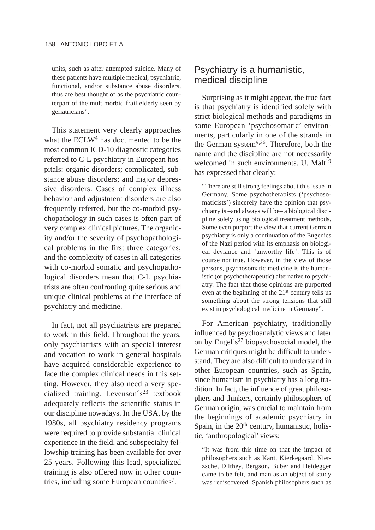units, such as after attempted suicide. Many of these patients have multiple medical, psychiatric, functional, and/or substance abuse disorders, thus are best thought of as the psychiatric counterpart of the multimorbid frail elderly seen by geriatricians".

This statement very clearly approaches what the ECLW<sup>4</sup> has documented to be the most common ICD-10 diagnostic categories referred to C-L psychiatry in European hospitals: organic disorders; complicated, substance abuse disorders; and major depressive disorders. Cases of complex illness behavior and adjustment disorders are also frequently referred, but the co-morbid psychopathology in such cases is often part of very complex clinical pictures. The organicity and/or the severity of psychopathological problems in the first three categories; and the complexity of cases in all categories with co-morbid somatic and psychopathological disorders mean that C-L psychiatrists are often confronting quite serious and unique clinical problems at the interface of psychiatry and medicine.

In fact, not all psychiatrists are prepared to work in this field. Throughout the years, only psychiatrists with an special interest and vocation to work in general hospitals have acquired considerable experience to face the complex clinical needs in this setting. However, they also need a very specialized training. Levenson $\zeta^{23}$  textbook adequately reflects the scientific status in our discipline nowadays. In the USA, by the 1980s, all psychiatry residency programs were required to provide substantial clinical experience in the field, and subspecialty fellowship training has been available for over 25 years. Following this lead, specialized training is also offered now in other countries, including some European countries<sup>7</sup>.

### Psychiatry is a humanistic, medical discipline

Surprising as it might appear, the true fact is that psychiatry is identified solely with strict biological methods and paradigms in some European 'psychosomatic' environments, particularly in one of the strands in the German system9,26. Therefore, both the name and the discipline are not necessarily welcomed in such environments. U. Malt<sup>19</sup> has expressed that clearly:

"There are still strong feelings about this issue in Germany. Some psychotherapists ('psychosomaticists') sincerely have the opinion that psychiatry is –and always will be– a biological discipline solely using biological treatment methods. Some even purport the view that current German psychiatry is only a continuation of the Eugenics of the Nazi period with its emphasis on biological deviance and 'unworthy life'. This is of course not true. However, in the view of those persons, psychosomatic medicine is the humanistic (or psychotherapeutic) alternative to psychiatry. The fact that those opinions are purported even at the beginning of the 21st century tells us something about the strong tensions that still exist in psychological medicine in Germany".

For American psychiatry, traditionally influenced by psychoanalytic views and later on by Engel's<sup>27</sup> biopsychosocial model, the German critiques might be difficult to understand. They are also difficult to understand in other European countries, such as Spain, since humanism in psychiatry has a long tradition. In fact, the influence of great philosophers and thinkers, certainly philosophers of German origin, was crucial to maintain from the beginnings of academic psychiatry in Spain, in the  $20<sup>th</sup>$  century, humanistic, holistic, 'anthropological' views:

"It was from this time on that the impact of philosophers such as Kant, Kierkegaard, Nietzsche, Dilthey, Bergson, Buber and Heidegger came to be felt, and man as an object of study was rediscovered. Spanish philosophers such as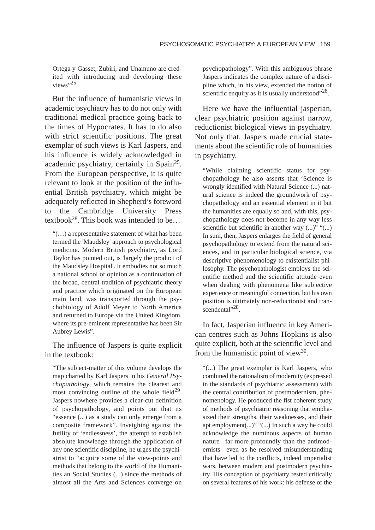Ortega y Gasset, Zubiri, and Unamuno are credited with introducing and developing these views".25

But the influence of humanistic views in academic psychiatry has to do not only with traditional medical practice going back to the times of Hypocrates. It has to do also with strict scientific positions. The great exemplar of such views is Karl Jaspers, and his influence is widely acknowledged in academic psychiatry, certainly in Spain25. From the European perspective, it is quite relevant to look at the position of the influential British psychiatry, which might be adequately reflected in Shepherd's foreword to the Cambridge University Press textbook<sup>28</sup>. This book was intended to be...

"(…) a representative statement of what has been termed the 'Maudsley' approach to psychological medicine. Modern British psychiatry, as Lord Taylor has pointed out, is 'largely the product of the Maudsley Hospital'. It embodies not so much a national school of opinion as a continuation of the broad, central tradition of psychiatric theory and practice which originated on the European main land, was transported through the psychobiology of Adolf Meyer to North America and returned to Europe via the United Kingdom, where its pre-eminent representative has been Sir Aubrey Lewis".

The influence of Jaspers is quite explicit in the textbook:

"The subject-matter of this volume develops the map charted by Karl Jaspers in his *General Psychopathology*, which remains the clearest and most convincing outline of the whole field $^{29}$ . Jaspers nowhere provides a clear-cut definition of psychopathology, and points out that its "essence (...) as a study can only emerge from a composite framework". Inveighing against the futility of 'endlessness', the attempt to establish absolute knowledge through the application of any one scientific discipline, he urges the psychiatrist to "acquire some of the view-points and methods that belong to the world of the Humanities an Social Studies (...) since the methods of almost all the Arts and Sciences converge on

psychopathology". With this ambiguous phrase Jaspers indicates the complex nature of a discipline which, in his view, extended the notion of scientific enquiry as it is usually understood $^{28}$ .

Here we have the influential jasperian, clear psychiatric position against narrow, reductionist biological views in psychiatry. Not only that. Jaspers made crucial statements about the scientific role of humanities in psychiatry.

"While claiming scientific status for psychopathology he also asserts that 'Science is wrongly identified with Natural Science (...) natural science is indeed the groundwork of psychopathology and an essential element in it but the humanities are equally so and, with this, psychopathology does not become in any way less scientific but scientific in another way (...)" "(...) In sum, then, Jaspers enlarges the field of general psychopathology to extend from the natural sciences, and in particular biological science, via descriptive phenomenology to existentialist philosophy. The psychopathologist employs the scientific method and the scientific attitude even when dealing with phenomena like subjective experience or meaningful connection, but his own position is ultimately non-reductionist and transcendental"<sup>28</sup>

In fact, Jasperian influence in key American centres such as Johns Hopkins is also quite explicit, both at the scientific level and from the humanistic point of view<sup>30</sup>.

"(...) The great exemplar is Karl Jaspers, who combined the rationalism of modernity (expressed in the standards of psychiatric assessment) with the central contribution of postmodernism, phenomenology. He produced the fist coherent study of methods of psychiatric reasoning that emphasized their strengths, their weaknesses, and their apt employment(...)" "(...) In such a way he could acknowledge the numinous aspects of human nature –far more profoundly than the antimodernists– even as he resolved misunderstanding that have led to the conflicts, indeed imperialist wars, between modern and postmodern psychiatry. His conception of psychiatry rested critically on several features of his work: his defense of the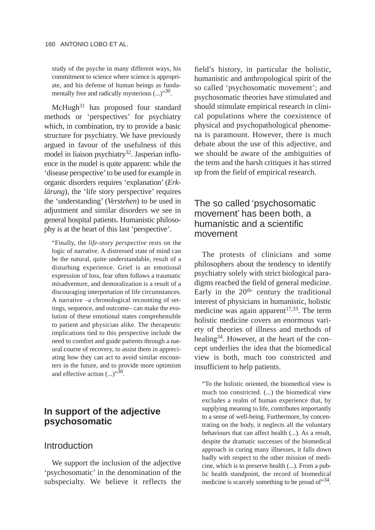study of the psyche in many different ways, his commitment to science where science is appropriate, and his defense of human beings as fundamentally free and radically mysterious  $(...)$ <sup>30</sup>.

McHugh<sup>31</sup> has proposed four standard methods or 'perspectives' for psychiatry which, in combination, try to provide a basic structure for psychiatry. We have previously argued in favour of the usefulness of this model in liaison psychiatry<sup>32</sup>. Jasperian influence in the model is quite apparent: while the 'disease perspective'to be used for example in organic disorders requires 'explanation' (*Erklärung*), the 'life story perspective' requires the 'understanding' (*Verstehen*) to be used in adjustment and similar disorders we see in general hospital patients. Humanistic philosophy is at the heart of this last 'perspective'.

"Finally, the *life-story perspective* rests on the logic of narrative. A distressed state of mind can be the natural, quite understandable, result of a disturbing experience. Grief is an emotional expression of loss, fear often follows a traumatic misadventure, and demoralization is a result of a discouraging interpretation of life circumstances. A narrative –a chronological recounting of settings, sequence, and outcome– can make the evolution of these emotional states comprehensible to patient and physician alike. The therapeutic implications tied to this perspective include the need to comfort and guide patients through a natural course of recovery, to assist them in appreciating how they can act to avoid similar encounters in the future, and to provide more optimism and effective action  $(\ldots)^{3,0}$ .

# **In support of the adjective psychosomatic**

#### Introduction

We support the inclusion of the adjective 'psychosomatic' in the denomination of the subspecialty. We believe it reflects the field's history, in particular the holistic, humanistic and anthropological spirit of the so called 'psychosomatic movement'; and psychosomatic theories have stimulated and should stimulate empirical research in clinical populations where the coexistence of physical and psychopathological phenomena is paramount. However, there is much debate about the use of this adjective, and we should be aware of the ambiguities of the term and the harsh critiques it has stirred up from the field of empirical research.

## The so called 'psychosomatic movement' has been both, a humanistic and a scientific movement

The protests of clinicians and some philosophers about the tendency to identify psychiatry solely with strict biological paradigms reached the field of general medicine. Early in the  $20<sup>th</sup>$  century the traditional interest of physicians in humanistic, holistic medicine was again apparent $17,33$ . The term holistic medicine covers an enormous variety of theories of illness and methods of healing<sup>34</sup>. However, at the heart of the concept underlies the idea that the biomedical view is both, much too constricted and insufficient to help patients.

"To the holistic oriented, the biomedical view is much too constricted. (...) the biomedical view excludes a realm of human experience that, by supplying meaning to life, contributes importantly to a sense of well-being. Furthermore, by concentrating on the body, it neglects all the voluntary behaviours that can affect health (...). As a result, despite the dramatic successes of the biomedical approach in curing many illnesses, it falls down badly with respect to the other mission of medicine, which is to preserve health (...). From a public health standpoint, the record of biomedical medicine is scarcely something to be proud of  $34$ .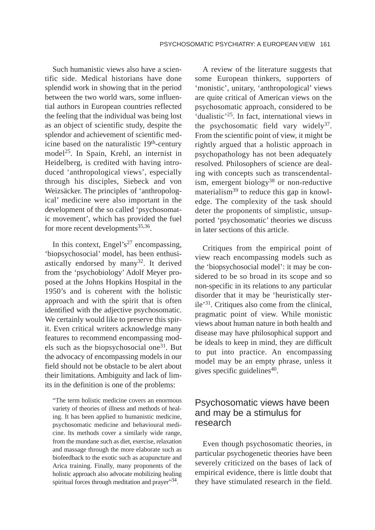Such humanistic views also have a scientific side. Medical historians have done splendid work in showing that in the period between the two world wars, some influential authors in European countries reflected the feeling that the individual was being lost as an object of scientific study, despite the splendor and achievement of scientific medicine based on the naturalistic 19<sup>th</sup>-century model<sup>25</sup>. In Spain, Krehl, an internist in Heidelberg, is credited with having introduced 'anthropological views', especially through his disciples, Siebeck and von Weizsäcker. The principles of 'anthropological' medicine were also important in the development of the so called 'psychosomatic movement', which has provided the fuel for more recent developments<sup>35,36</sup>.

In this context, Engel's<sup>27</sup> encompassing, 'biopsychosocial' model, has been enthusiastically endorsed by many<sup>32</sup>. It derived from the 'psychobiology' Adolf Meyer proposed at the Johns Hopkins Hospital in the 1950's and is coherent with the holistic approach and with the spirit that is often identified with the adjective psychosomatic. We certainly would like to preserve this spirit. Even critical writers acknowledge many features to recommend encompassing models such as the biopsychosocial one<sup>31</sup>. But the advocacy of encompassing models in our field should not be obstacle to be alert about their limitations. Ambiguity and lack of limits in the definition is one of the problems:

"The term holistic medicine covers an enormous variety of theories of illness and methods of healing. It has been applied to humanistic medicine, psychosomatic medicine and behavioural medicine. Its methods cover a similarly wide range, from the mundane such as diet, exercise, relaxation and massage through the more elaborate such as biofeedback to the exotic such as acupuncture and Arica training. Finally, many proponents of the holistic approach also advocate mobilizing healing spiritual forces through meditation and prayer"<sup>34</sup>.

A review of the literature suggests that some European thinkers, supporters of 'monistic', unitary, 'anthropological' views are quite critical of American views on the psychosomatic approach, considered to be 'dualistic'25. In fact, international views in the psychosomatic field vary widely<sup>37</sup>. From the scientific point of view, it might be rightly argued that a holistic approach in psychopathology has not been adequately resolved. Philosophers of science are dealing with concepts such as transcendentalism, emergent biology38 or non-reductive materialism<sup>39</sup> to reduce this gap in knowledge. The complexity of the task should deter the proponents of simplistic, unsupported 'psychosomatic' theories we discuss in later sections of this article.

Critiques from the empirical point of view reach encompassing models such as the 'biopsychosocial model': it may be considered to be so broad in its scope and so non-specific in its relations to any particular disorder that it may be 'heuristically sterile'31. Critiques also come from the clinical, pragmatic point of view. While monistic views about human nature in both health and disease may have philosophical support and be ideals to keep in mind, they are difficult to put into practice. An encompassing model may be an empty phrase, unless it gives specific guidelines $40$ .

## Psychosomatic views have been and may be a stimulus for research

Even though psychosomatic theories, in particular psychogenetic theories have been severely criticized on the bases of lack of empirical evidence, there is little doubt that they have stimulated research in the field.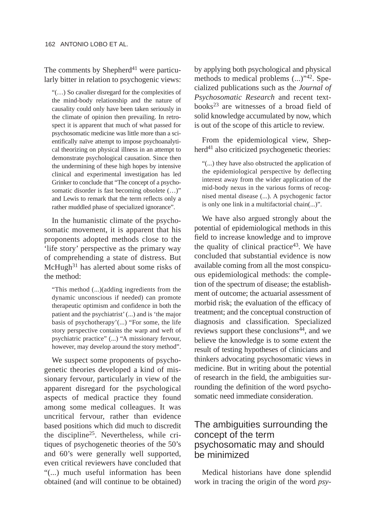The comments by Shepherd<sup>41</sup> were particularly bitter in relation to psychogenic views:

"(…) So cavalier disregard for the complexities of the mind-body relationship and the nature of causality could only have been taken seriously in the climate of opinion then prevailing. In retrospect it is apparent that much of what passed for psychosomatic medicine was little more than a scientifically naïve attempt to impose psychoanalytical theorizing on physical illness in an attempt to demonstrate psychological causation. Since then the undermining of these high hopes by intensive clinical and experimental investigation has led Grinker to conclude that "The concept of a psychosomatic disorder is fast becoming obsolete  $(...)$ " and Lewis to remark that the term reflects only a rather muddled phase of specialized ignorance".

In the humanistic climate of the psychosomatic movement, it is apparent that his proponents adopted methods close to the 'life story' perspective as the primary way of comprehending a state of distress. But  $McHugh<sup>31</sup>$  has alerted about some risks of the method:

"This method (...)(adding ingredients from the dynamic unconscious if needed) can promote therapeutic optimism and confidence in both the patient and the psychiatrist' (...) and is 'the major basis of psychotherapy'(...) "For some, the life story perspective contains the warp and weft of psychiatric practice" (...) "A missionary fervour, however, may develop around the story method".

We suspect some proponents of psychogenetic theories developed a kind of missionary fervour, particularly in view of the apparent disregard for the psychological aspects of medical practice they found among some medical colleagues. It was uncritical fervour, rather than evidence based positions which did much to discredit the discipline25. Nevertheless, while critiques of psychogenetic theories of the 50's and 60's were generally well supported, even critical reviewers have concluded that "(...) much useful information has been obtained (and will continue to be obtained) by applying both psychological and physical methods to medical problems (...)"42. Specialized publications such as the *Journal of Psychosomatic Research* and recent textbooks23 are witnesses of a broad field of solid knowledge accumulated by now, which is out of the scope of this article to review.

From the epidemiological view, Shepherd<sup>41</sup> also criticized psychogenetic theories:

"(...) they have also obstructed the application of the epidemiological perspective by deflecting interest away from the wider application of the mid-body nexus in the various forms of recognised mental disease (...). A psychogenic factor is only one link in a multifactorial chain(...)".

We have also argued strongly about the potential of epidemiological methods in this field to increase knowledge and to improve the quality of clinical practice $43$ . We have concluded that substantial evidence is now available coming from all the most conspicuous epidemiological methods: the completion of the spectrum of disease; the establishment of outcome; the actuarial assessment of morbid risk; the evaluation of the efficacy of treatment; and the conceptual construction of diagnosis and classification. Specialized reviews support these conclusions<sup>44</sup>, and we believe the knowledge is to some extent the result of testing hypotheses of clinicians and thinkers advocating psychosomatic views in medicine. But in writing about the potential of research in the field, the ambiguities surrounding the definition of the word psychosomatic need immediate consideration.

## The ambiguities surrounding the concept of the term psychosomatic may and should be minimized

Medical historians have done splendid work in tracing the origin of the word *psy-*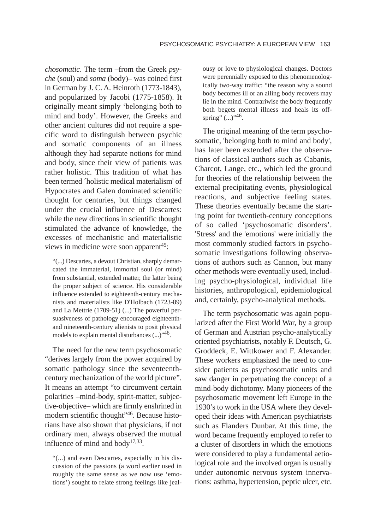*chosomatic*. The term –from the Greek *psyche* (soul) and *soma* (body)– was coined first in German by J. C. A. Heinroth (1773-1843), and popularized by Jacobi (1775-1858). It originally meant simply 'belonging both to mind and body'. However, the Greeks and other ancient cultures did not require a specific word to distinguish between psychic and somatic components of an illness although they had separate notions for mind and body, since their view of patients was rather holistic. This tradition of what has been termed ´holistic medical materialism' of Hypocrates and Galen dominated scientific thought for centuries, but things changed under the crucial influence of Descartes: while the new directions in scientific thought stimulated the advance of knowledge, the excesses of mechanistic and materialistic views in medicine were soon apparent<sup>45</sup>:

"(...) Descartes, a devout Christian, sharply demarcated the immaterial, immortal soul (or mind) from substantial, extended matter, the latter being the proper subject of science. His considerable influence extended to eighteenth-century mechanists and materialists like D'Holbach (1723-89) and La Mettrie (1709-51) (...) The powerful persuasiveness of pathology encouraged eighteenthand nineteenth-century alienists to posit physical models to explain mental disturbances  $(...)$ <sup>46</sup>.

The need for the new term psychosomatic "derives largely from the power acquired by somatic pathology since the seventeenthcentury mechanization of the world picture". It means an attempt "to circumvent certain polarities –mind-body, spirit-matter, subjective-objective– which are firmly enshrined in modern scientific thought"46. Because historians have also shown that physicians, if not ordinary men, always observed the mutual influence of mind and body<sup>17,33</sup>.

"(...) and even Descartes, especially in his discussion of the passions (a word earlier used in roughly the same sense as we now use 'emotions') sought to relate strong feelings like jealousy or love to physiological changes. Doctors were perennially exposed to this phenomenologically two-way traffic: "the reason why a sound body becomes ill or an ailing body recovers may lie in the mind. Contrariwise the body frequently both begets mental illness and heals its offspring"  $(...)$ <sup> $,46$ </sup>.

The original meaning of the term psychosomatic, 'belonging both to mind and body', has later been extended after the observations of classical authors such as Cabanis, Charcot, Lange, etc., which led the ground for theories of the relationship between the external precipitating events, physiological reactions, and subjective feeling states. These theories eventually became the starting point for twentieth-century conceptions of so called 'psychosomatic disorders'. 'Stress' and the 'emotions' were initially the most commonly studied factors in psychosomatic investigations following observations of authors such as Cannon, but many other methods were eventually used, including psycho-physiological, individual life histories, anthropological, epidemiological and, certainly, psycho-analytical methods.

The term psychosomatic was again popularized after the First World War, by a group of German and Austrian psycho-analytically oriented psychiatrists, notably F. Deutsch, G. Groddeck, E. Wittkower and F. Alexander. These workers emphasized the need to consider patients as psychosomatic units and saw danger in perpetuating the concept of a mind-body dichotomy. Many pioneers of the psychosomatic movement left Europe in the 1930's to work in the USA where they developed their ideas with American psychiatrists such as Flanders Dunbar. At this time, the word became frequently employed to refer to a cluster of disorders in which the emotions were considered to play a fundamental aetiological role and the involved organ is usually under autonomic nervous system innervations: asthma, hypertension, peptic ulcer, etc.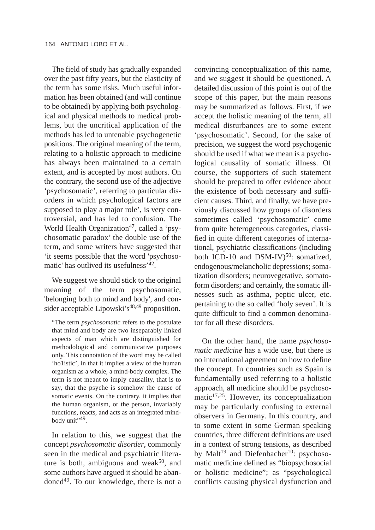The field of study has gradually expanded over the past fifty years, but the elasticity of the term has some risks. Much useful information has been obtained (and will continue to be obtained) by applying both psychological and physical methods to medical problems, but the uncritical application of the methods has led to untenable psychogenetic positions. The original meaning of the term, relating to a holistic approach to medicine has always been maintained to a certain extent, and is accepted by most authors. On the contrary, the second use of the adjective 'psychosomatic', referring to particular disorders in which psychological factors are supposed to play a major role', is very controversial, and has led to confusion. The World Health Organization<sup>47</sup>, called a 'psychosomatic paradox' the double use of the term, and some writers have suggested that 'it seems possible that the word 'psychosomatic' has outlived its usefulness'42.

We suggest we should stick to the original meaning of the term psychosomatic, 'belonging both to mind and body', and consider acceptable Lipowski's<sup>48,49</sup> proposition.

"The term *psychosomatic* refers to the postulate that mind and body are two inseparably linked aspects of man which are distinguished for methodological and communicative purposes only. This connotation of the word may be called 'ho1istic', in that it implies a view of the human organism as a whole, a mind-body complex. The term is not meant to imply causality, that is to say, that the psyche is somehow the cause of somatic events. On the contrary, it implies that the human organism, or the person, invariably functions, reacts, and acts as an integrated mindbody unit",49.

In relation to this, we suggest that the concept *psychosomatic disorder*, commonly seen in the medical and psychiatric literature is both, ambiguous and weak<sup>50</sup>, and some authors have argued it should be abandoned49. To our knowledge, there is not a convincing conceptualization of this name, and we suggest it should be questioned. A detailed discussion of this point is out of the scope of this paper, but the main reasons may be summarized as follows. First, if we accept the holistic meaning of the term, all medical disturbances are to some extent 'psychosomatic'. Second, for the sake of precision, we suggest the word psychogenic should be used if what we mean is a psychological causality of somatic illness. Of course, the supporters of such statement should be prepared to offer evidence about the existence of both necessary and sufficient causes. Third, and finally, we have previously discussed how groups of disorders sometimes called 'psychosomatic' come from quite heterogeneous categories, classified in quite different categories of international, psychiatric classifications (including both ICD-10 and DSM-IV)<sup>50</sup>: somatized, endogenous/melancholic depressions; somatization disorders; neurovegetative, somatoform disorders; and certainly, the somatic illnesses such as asthma, peptic ulcer, etc. pertaining to the so called 'holy seven'. It is quite difficult to find a common denominator for all these disorders.

On the other hand, the name *psychosomatic medicine* has a wide use, but there is no international agreement on how to define the concept. In countries such as Spain is fundamentally used referring to a holistic approach, all medicine should be psychosomatic $17,25$ . However, its conceptualization may be particularly confusing to external observers in Germany. In this country, and to some extent in some German speaking countries, three different definitions are used in a context of strong tensions, as described by Malt<sup>19</sup> and Diefenbacher<sup>10</sup>: psychosomatic medicine defined as "biopsychosocial or holistic medicine"; as "psychological conflicts causing physical dysfunction and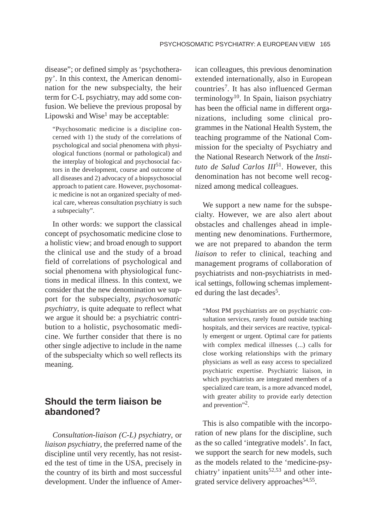disease"; or defined simply as 'psychotherapy'. In this context, the American denomination for the new subspecialty, the heir term for C-L psychiatry, may add some confusion. We believe the previous proposal by Lipowski and  $Wise<sup>1</sup>$  may be acceptable:

"Psychosomatic medicine is a discipline concerned with 1) the study of the correlations of psychological and social phenomena with physiological functions (normal or pathological) and the interplay of biological and psychosocial factors in the development, course and outcome of all diseases and 2) advocacy of a biopsychosocial approach to patient care. However, psychosomatic medicine is not an organized specialty of medical care, whereas consultation psychiatry is such a subspecialty".

In other words: we support the classical concept of psychosomatic medicine close to a holistic view; and broad enough to support the clinical use and the study of a broad field of correlations of psychological and social phenomena with physiological functions in medical illness. In this context, we consider that the new denomination we support for the subspecialty, *psychosomatic psychiatry*, is quite adequate to reflect what we argue it should be: a psychiatric contribution to a holistic, psychosomatic medicine. We further consider that there is no other single adjective to include in the name of the subspecialty which so well reflects its meaning.

## **Should the term liaison be abandoned?**

*Consultation-liaison (C-L) psychiatry*, or *liaison psychiatry*, the preferred name of the discipline until very recently, has not resisted the test of time in the USA, precisely in the country of its birth and most successful development. Under the influence of American colleagues, this previous denomination extended internationally, also in European countries7. It has also influenced German terminology<sup>10</sup>. In Spain, liaison psychiatry has been the official name in different organizations, including some clinical programmes in the National Health System, the teaching programme of the National Commission for the specialty of Psychiatry and the National Research Network of the *Instituto de Salud Carlos III*51. However, this denomination has not become well recognized among medical colleagues.

We support a new name for the subspecialty. However, we are also alert about obstacles and challenges ahead in implementing new denominations. Furthermore, we are not prepared to abandon the term *liaison* to refer to clinical, teaching and management programs of collaboration of psychiatrists and non-psychiatrists in medical settings, following schemas implemented during the last decades<sup>5</sup>.

"Most PM psychiatrists are on psychiatric consultation services, rarely found outside teaching hospitals, and their services are reactive, typically emergent or urgent. Optimal care for patients with complex medical illnesses (...) calls for close working relationships with the primary physicians as well as easy access to specialized psychiatric expertise. Psychiatric liaison, in which psychiatrists are integrated members of a specialized care team, is a more advanced model, with greater ability to provide early detection and prevention"<sup>2</sup>.

This is also compatible with the incorporation of new plans for the discipline, such as the so called 'integrative models'. In fact, we support the search for new models, such as the models related to the 'medicine-psychiatry' inpatient units $52,53$  and other integrated service delivery approaches  $54,55$ .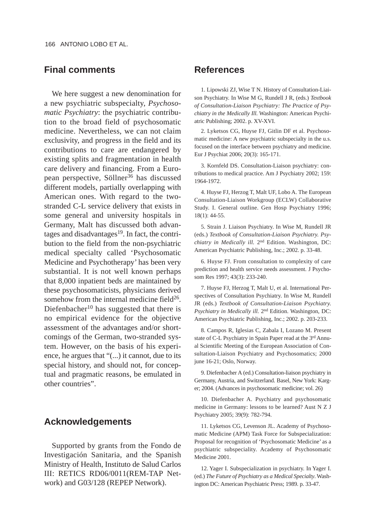## **Final comments**

We here suggest a new denomination for a new psychiatric subspecialty, *Psychosomatic Psychiatry*: the psychiatric contribution to the broad field of psychosomatic medicine. Nevertheless, we can not claim exclusivity, and progress in the field and its contributions to care are endangered by existing splits and fragmentation in health care delivery and financing. From a European perspective, Söllner<sup>36</sup> has discussed different models, partially overlapping with American ones. With regard to the twostranded C-L service delivery that exists in some general and university hospitals in Germany, Malt has discussed both advantages and disadvantages $19$ . In fact, the contribution to the field from the non-psychiatric medical specialty called 'Psychosomatic Medicine and Psychotherapy' has been very substantial. It is not well known perhaps that 8,000 inpatient beds are maintained by these psychosomaticists, physicians derived somehow from the internal medicine field $26$ . Diefenbacher<sup>10</sup> has suggested that there is no empirical evidence for the objective assessment of the advantages and/or shortcomings of the German, two-stranded system. However, on the basis of his experience, he argues that "(...) it cannot, due to its special history, and should not, for conceptual and pragmatic reasons, be emulated in other countries".

#### **Acknowledgements**

Supported by grants from the Fondo de Investigación Sanitaria, and the Spanish Ministry of Health, Instituto de Salud Carlos III: RETICS RD06/0011(REM-TAP Network) and G03/128 (REPEP Network).

#### **References**

1. Lipowski ZJ, Wise T N. History of Consultation-Liaison Psychiatry. In Wise M G, Rundell J R, (eds.) *Textbook of Consultation-Liaison Psychiatry: The Practice of Psychiatry in the Medically Ill.* Washington: American Psychiatric Publishing; 2002. p. XV-XVI.

2. Lyketsos CG, Huyse FJ, Gitlin DF et al. Psychosomatic medicine: A new psychiatric subspecialty in the u.s. focused on the interface between psychiatry and medicine. Eur J Psychiat 2006; 20(3): 165-171.

3. Kornfeld DS. Consultation-Liaison psychiatry: contributions to medical practice. Am J Psychiatry 2002; 159: 1964-1972.

4. Huyse FJ, Herzog T, Malt UF, Lobo A. The European Consultation-Liaison Workgroup (ECLW) Collaborative Study. I. General outline. Gen Hosp Psychiatry 1996; 18(1): 44-55.

5. Strain J. Liaison Psychiatry. In Wise M, Rundell JR (eds.) *Textbook of Consultation-Liaison Psychiatry. Psychiatry in Medically ill.* 2nd Edition. Washington, DC: American Psychiatric Publishing, Inc.; 2002. p. 33-48.

6. Huyse FJ. From consultation to complexity of care prediction and health service needs assessment. J Psychosom Res 1997; 43(3): 233-240.

7. Huyse FJ, Herzog T, Malt U, et al. International Perspectives of Consultation Psychiatry. In Wise M, Rundell JR (eds.) *Textbook of Consultation-Liaison Psychiatry. Psychiatry in Medically ill.* 2nd Edition. Washington, DC: American Psychiatric Publishing, Inc.; 2002. p. 203-233.

8. Campos R, Iglesias C, Zabala I, Lozano M. Present state of C-L Psychiatry in Spain Paper read at the 3rd Annual Scientific Meeting of the European Association of Consultation-Liaison Psychiatry and Psychosomatics; 2000 june 16-21; Oslo, Norway.

9. Diefenbacher A (ed.) Consultation-liaison psychiatry in Germany, Austria, and Switzerland. Basel, New York: Karger; 2004. (Advances in psychosomatic medicine; vol. 26)

10. Diefenbacher A. Psychiatry and psychosomatic medicine in Germany: lessons to be learned? Aust N Z J Psychiatry 2005; 39(9): 782-794.

11. Lyketsos CG, Levenson JL. Academy of Psychosomatic Medicine (APM) Task Force for Subspecialization: Proposal for recognition of 'Psychosomatic Medicine' as a psychiatric subspeciality. Academy of Psychosomatic Medicine 2001.

12. Yager I. Subspecialization in psychiatry. In Yager I. (ed.) *The Future of Psychiatry as a Medical Specialty*. Washington DC: American Psychiatric Press; 1989. p. 33-47.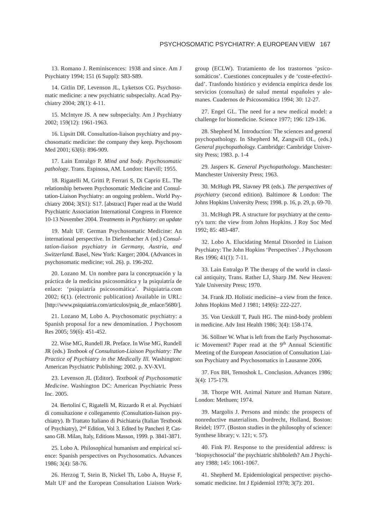13. Romano J. Reminiscences: 1938 and since. Am J Psychiatry 1994; 151 (6 Suppl): S83-S89.

14. Gitlin DF, Levenson JL, Lyketsos CG. Psychosomatic medicine: a new psychiatric subspecialty. Acad Psychiatry 2004; 28(1): 4-11.

15. McIntyre JS. A new subspecialty. Am J Psychiatry 2002; 159(12): 1961-1963.

16. Lipsitt DR. Consultation-liaison psychiatry and psychosomatic medicine: the company they keep. Psychosom Med 2001; 63(6): 896-909.

17. Lain Entralgo P. *Mind and body. Psychosomatic pathology*. Trans. Espinosa, AM. London: Harvill; 1955.

18. Rigatelli M, Gritti P, Ferrari S, Di Caprio EL. The relationship between Psychosomatic Medicine and Consultation-Liaison Psychiatry: an ongoing problem.. World Psychiatry 2004; 3(S1): S17. [abstract] Paper read at the World Psychiatric Association International Congress in Florence 10-13 November 2004. *Treatments in Psychiatry: an update*

19. Malt UF. German Psychosomatic Medicine: An international perspective. In Diefenbacher A (ed.) *Consultation-liaison psychiatry in Germany, Austria, and Switzerland.* Basel, New York: Karger; 2004. (Advances in psychosomatic medicine; vol. 26). p. 196-202.

20. Lozano M. Un nombre para la conceptuación y la práctica de la medicina psicosomática y la psiquiatría de enlace: 'psiquiatría psicosomática'. Psiquiatria.com 2002; 6(1). (electronic publication) Available in URL: [http://www.psiquiatria.com/articulos/psiq\_de\_enlace/5680/].

21. Lozano M, Lobo A. Psychosomatic psychiatry: a Spanish proposal for a new denomination. J Psychosom Res 2005; 59(6): 451-452.

22. Wise MG, Rundell JR. Preface. In Wise MG, Rundell JR (eds.) *Textbook of Consultation-Liaison Psychiatry: The Practice of Psychiatry in the Medically Ill.* Washington: American Psychiatric Publishing; 2002. p. XV-XVI.

23. Levenson JL (Editor). *Textbook of Psychosomatic Medicine*. Washington DC: American Psychiatric Press Inc. 2005.

24. Bertolini C, Rigatelli M, Rizzardo R et al. Psychiatri di consultazione e collegamento (Consultation-liaison psychiatry). Ib Trattato Italiano di Psichiatria (Italian Textbook of Psychiatry), 2nd Edition, Vol 3. Edited by Pancheri P, Cassano GB. Milan, Italy, Editions Masson, 1999. p. 3841-3871.

25. Lobo A. Philosophical humanism and empirical science: Spanish perspectives on Psychosomatics. Advances 1986; 3(4): 58-76.

26. Herzog T, Stein B, Nickel Th, Lobo A, Huyse F, Malt UF and the European Consultation Liaison Workgroup (ECLW). Tratamiento de los trastornos 'psicosomáticos'. Cuestiones conceptuales y de 'coste-efectividad'. Trasfondo histórico y evidencia empírica desde los servicios (consultas) de salud mental españoles y alemanes. Cuadernos de Psicosomática 1994; 30: 12-27.

27. Engel GL. The need for a new medical model: a challenge for biomedicine. Science 1977; 196: 129-136.

28. Shepherd M. Introduction: The sciences and general psychopathology. In Shepherd M, Zangwill OL, (eds.) *General psychopathology.* Cambridge: Cambridge University Press; 1983. p. 1-4

29. Jaspers K. *General Psychopathology*. Manchester: Manchester University Press; 1963.

30. McHugh PR, Slavney PR (eds.). *The perspectives of psychiatry* (second edition)*.* Baltimore & London: The Johns Hopkins University Press; 1998. p. 16, p. 29, p. 69-70.

31. McHugh PR. A structure for psychiatry at the century's turn: the view from Johns Hopkins. J Roy Soc Med 1992; 85: 483-487.

32. Lobo A. Elucidating Mental Disorded in Liaison Psychiatry: The John Hopkins 'Perspectives'. J Psychosom Res 1996; 41(1): 7-11.

33. Lain Entralgo P. The therapy of the world in classical antiquity, Trans. Rather LJ, Sharp JM. New Heaven: Yale University Press; 1970.

34. Frank JD. Holistic medicine--a view from the fence. Johns Hopkins Med J 1981; 149(6): 222-227.

35. Von Uexküll T, Pauli HG. The mind-body problem in medicine. Adv Inst Health 1986; 3(4): 158-174.

36. Söllner W. What is left from the Early Psychosomatic Movement? Paper read at the 9<sup>th</sup> Annual Scientific Meeting of the European Association of Consultation Liaison Psychiatry and Psychosomatics in Lausanne 2006.

37. Fox BH, Temoshok L. Conclusion. Advances 1986; 3(4): 175-179.

38. Thorpe WH. Animal Nature and Human Nature. London: Methuen; 1974.

39. Margolis J. Persons and minds: the prospects of nonreductive materialism. Dordrecht, Holland, Boston: Reidel; 1977. (Boston studies in the philosophy of science: Synthese library; v. 121; v. 57).

40. Fink PJ*.* Response to the presidential address: is 'biopsychosocial' the psychiatric shibboleth? Am J Psychiatry 1988; 145: 1061-1067.

41. Shepherd M. Epidemiological perspective: psychosomatic medicine. Int J Epidemiol 1978; 3(7): 201.